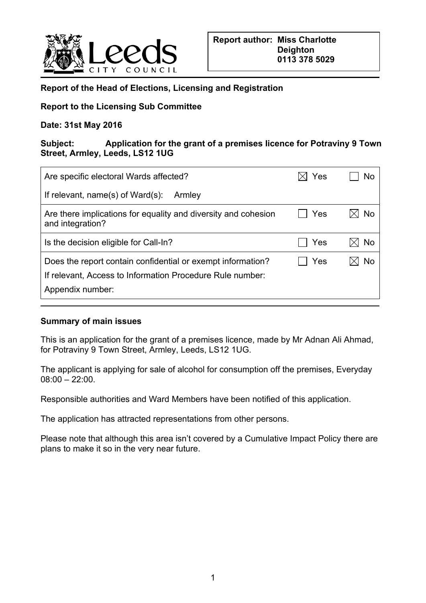

### **Report of the Head of Elections, Licensing and Registration**

### **Report to the Licensing Sub Committee**

#### **Date: 31st May 2016**

#### **Subject: Application for the grant of a premises licence for Potraviny 9 Town Street, Armley, Leeds, LS12 1UG**

| Are specific electoral Wards affected?                                                                                                       | Yes | NΟ |
|----------------------------------------------------------------------------------------------------------------------------------------------|-----|----|
| If relevant, $name(s)$ of Ward $(s)$ :<br>Armley                                                                                             |     |    |
| Are there implications for equality and diversity and cohesion<br>and integration?                                                           | Yes | N٥ |
| Is the decision eligible for Call-In?                                                                                                        | Yes | Nο |
| Does the report contain confidential or exempt information?<br>If relevant, Access to Information Procedure Rule number:<br>Appendix number: | Yes | Nο |

#### **Summary of main issues**

This is an application for the grant of a premises licence, made by Mr Adnan Ali Ahmad, for Potraviny 9 Town Street, Armley, Leeds, LS12 1UG.

The applicant is applying for sale of alcohol for consumption off the premises, Everyday 08:00 – 22:00.

Responsible authorities and Ward Members have been notified of this application.

The application has attracted representations from other persons.

Please note that although this area isn't covered by a Cumulative Impact Policy there are plans to make it so in the very near future.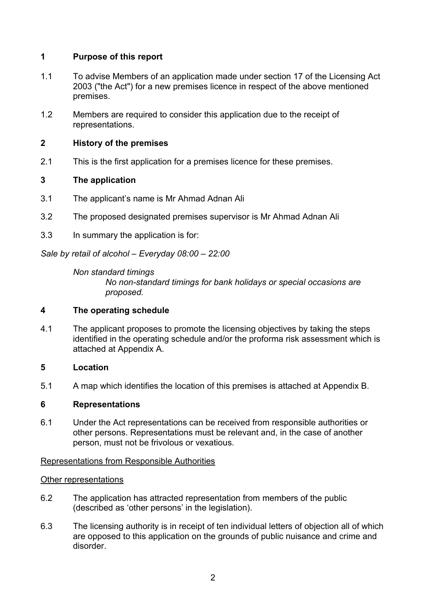# **1 Purpose of this report**

- 1.1 To advise Members of an application made under section 17 of the Licensing Act 2003 ("the Act") for a new premises licence in respect of the above mentioned premises.
- 1.2 Members are required to consider this application due to the receipt of representations.

# **2 History of the premises**

2.1 This is the first application for a premises licence for these premises.

# **3 The application**

- 3.1 The applicant's name is Mr Ahmad Adnan Ali
- 3.2 The proposed designated premises supervisor is Mr Ahmad Adnan Ali
- 3.3 In summary the application is for:

*Sale by retail of alcohol – Everyday 08:00 – 22:00*

*Non standard timings No non-standard timings for bank holidays or special occasions are proposed.*

### **4 The operating schedule**

4.1 The applicant proposes to promote the licensing objectives by taking the steps identified in the operating schedule and/or the proforma risk assessment which is attached at Appendix A.

### **5 Location**

5.1 A map which identifies the location of this premises is attached at Appendix B.

### **6 Representations**

6.1 Under the Act representations can be received from responsible authorities or other persons. Representations must be relevant and, in the case of another person, must not be frivolous or vexatious.

#### Representations from Responsible Authorities

#### Other representations

- 6.2 The application has attracted representation from members of the public (described as 'other persons' in the legislation).
- 6.3 The licensing authority is in receipt of ten individual letters of objection all of which are opposed to this application on the grounds of public nuisance and crime and disorder.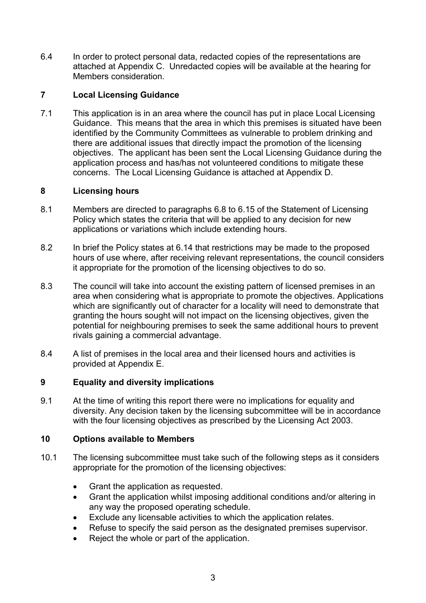6.4 In order to protect personal data, redacted copies of the representations are attached at Appendix C. Unredacted copies will be available at the hearing for Members consideration.

### **7 Local Licensing Guidance**

7.1 This application is in an area where the council has put in place Local Licensing Guidance. This means that the area in which this premises is situated have been identified by the Community Committees as vulnerable to problem drinking and there are additional issues that directly impact the promotion of the licensing objectives. The applicant has been sent the Local Licensing Guidance during the application process and has/has not volunteered conditions to mitigate these concerns. The Local Licensing Guidance is attached at Appendix D.

### **8 Licensing hours**

- 8.1 Members are directed to paragraphs 6.8 to 6.15 of the Statement of Licensing Policy which states the criteria that will be applied to any decision for new applications or variations which include extending hours.
- 8.2 In brief the Policy states at 6.14 that restrictions may be made to the proposed hours of use where, after receiving relevant representations, the council considers it appropriate for the promotion of the licensing objectives to do so.
- 8.3 The council will take into account the existing pattern of licensed premises in an area when considering what is appropriate to promote the objectives. Applications which are significantly out of character for a locality will need to demonstrate that granting the hours sought will not impact on the licensing objectives, given the potential for neighbouring premises to seek the same additional hours to prevent rivals gaining a commercial advantage.
- 8.4 A list of premises in the local area and their licensed hours and activities is provided at Appendix E.

#### **9 Equality and diversity implications**

9.1 At the time of writing this report there were no implications for equality and diversity. Any decision taken by the licensing subcommittee will be in accordance with the four licensing objectives as prescribed by the Licensing Act 2003.

#### **10 Options available to Members**

- 10.1 The licensing subcommittee must take such of the following steps as it considers appropriate for the promotion of the licensing objectives:
	- Grant the application as requested.
	- Grant the application whilst imposing additional conditions and/or altering in any way the proposed operating schedule.
	- Exclude any licensable activities to which the application relates.
	- Refuse to specify the said person as the designated premises supervisor.
	- Reject the whole or part of the application.